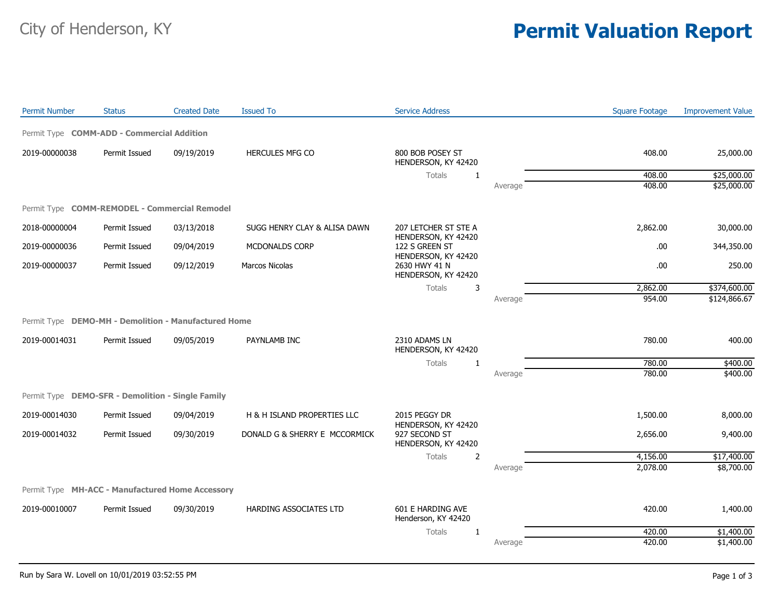## City of Henderson, KY **Permit Valuation Report**

| <b>Permit Number</b>                                 | <b>Status</b> | <b>Created Date</b> | <b>Issued To</b>              | <b>Service Address</b>                                      |         | <b>Square Footage</b> | <b>Improvement Value</b> |
|------------------------------------------------------|---------------|---------------------|-------------------------------|-------------------------------------------------------------|---------|-----------------------|--------------------------|
| Permit Type COMM-ADD - Commercial Addition           |               |                     |                               |                                                             |         |                       |                          |
| 2019-00000038                                        | Permit Issued | 09/19/2019          | <b>HERCULES MFG CO</b>        | 800 BOB POSEY ST<br>HENDERSON, KY 42420                     |         | 408.00                | 25,000.00                |
|                                                      |               |                     |                               | Totals<br>$\mathbf{1}$                                      |         | 408.00                | \$25,000.00              |
|                                                      |               |                     |                               |                                                             | Average | 408.00                | \$25,000.00              |
| Permit Type COMM-REMODEL - Commercial Remodel        |               |                     |                               |                                                             |         |                       |                          |
| 2018-00000004                                        | Permit Issued | 03/13/2018          | SUGG HENRY CLAY & ALISA DAWN  | 207 LETCHER ST STE A<br>HENDERSON, KY 42420                 |         | 2,862.00              | 30,000.00                |
| 2019-00000036                                        | Permit Issued | 09/04/2019          | MCDONALDS CORP                | 122 S GREEN ST                                              |         | .00                   | 344,350.00               |
| 2019-00000037                                        | Permit Issued | 09/12/2019          | Marcos Nicolas                | HENDERSON, KY 42420<br>2630 HWY 41 N<br>HENDERSON, KY 42420 |         | .00                   | 250.00                   |
|                                                      |               |                     |                               | 3<br>Totals                                                 |         | 2,862.00              | \$374,600.00             |
|                                                      |               |                     |                               |                                                             | Average | 954.00                | \$124,866.67             |
| Permit Type DEMO-MH - Demolition - Manufactured Home |               |                     |                               |                                                             |         |                       |                          |
| 2019-00014031                                        | Permit Issued | 09/05/2019          | PAYNLAMB INC                  | 2310 ADAMS LN<br>HENDERSON, KY 42420                        |         | 780.00                | 400.00                   |
|                                                      |               |                     |                               | <b>Totals</b><br>1                                          |         | 780.00                | \$400.00                 |
|                                                      |               |                     |                               |                                                             | Average | 780.00                | \$400.00                 |
| Permit Type DEMO-SFR - Demolition - Single Family    |               |                     |                               |                                                             |         |                       |                          |
| 2019-00014030                                        | Permit Issued | 09/04/2019          | H & H ISLAND PROPERTIES LLC   | 2015 PEGGY DR                                               |         | 1,500.00              | 8,000.00                 |
| 2019-00014032                                        | Permit Issued | 09/30/2019          | DONALD G & SHERRY E MCCORMICK | HENDERSON, KY 42420<br>927 SECOND ST<br>HENDERSON, KY 42420 |         | 2,656.00              | 9,400.00                 |
|                                                      |               |                     |                               | $\overline{2}$<br>Totals                                    |         | 4,156.00              | \$17,400.00              |
|                                                      |               |                     |                               |                                                             | Average | 2,078.00              | \$8,700.00               |
| Permit Type MH-ACC - Manufactured Home Accessory     |               |                     |                               |                                                             |         |                       |                          |
| 2019-00010007                                        | Permit Issued | 09/30/2019          | HARDING ASSOCIATES LTD        | 601 E HARDING AVE                                           |         | 420.00                | 1,400.00                 |
|                                                      |               |                     |                               | Henderson, KY 42420                                         |         |                       |                          |
|                                                      |               |                     |                               | Totals<br>1                                                 |         | 420.00                | \$1,400.00               |
|                                                      |               |                     |                               |                                                             | Average | 420.00                | \$1,400.00               |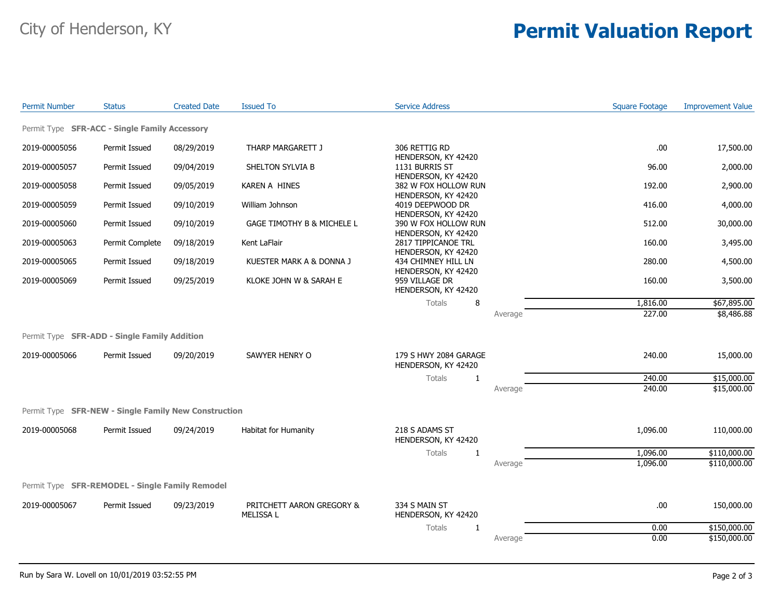## City of Henderson, KY **Permit Valuation Report**

| <b>Permit Number</b>                                 | <b>Status</b>   | <b>Created Date</b> | <b>Issued To</b>                              | <b>Service Address</b>                                            |         | <b>Square Footage</b> | <b>Improvement Value</b> |
|------------------------------------------------------|-----------------|---------------------|-----------------------------------------------|-------------------------------------------------------------------|---------|-----------------------|--------------------------|
| Permit Type SFR-ACC - Single Family Accessory        |                 |                     |                                               |                                                                   |         |                       |                          |
| 2019-00005056                                        | Permit Issued   | 08/29/2019          | THARP MARGARETT J                             | 306 RETTIG RD                                                     |         | .00                   | 17,500.00                |
| 2019-00005057                                        | Permit Issued   | 09/04/2019          | SHELTON SYLVIA B                              | HENDERSON, KY 42420<br>1131 BURRIS ST                             |         | 96.00                 | 2,000.00                 |
| 2019-00005058                                        | Permit Issued   | 09/05/2019          | KAREN A HINES                                 | HENDERSON, KY 42420<br>382 W FOX HOLLOW RUN                       |         | 192.00                | 2,900.00                 |
| 2019-00005059                                        | Permit Issued   | 09/10/2019          | William Johnson                               | HENDERSON, KY 42420<br>4019 DEEPWOOD DR                           |         | 416.00                | 4,000.00                 |
| 2019-00005060                                        | Permit Issued   | 09/10/2019          | GAGE TIMOTHY B & MICHELE L                    | HENDERSON, KY 42420<br>390 W FOX HOLLOW RUN                       |         | 512.00                | 30,000.00                |
| 2019-00005063                                        | Permit Complete | 09/18/2019          | Kent LaFlair                                  | HENDERSON, KY 42420<br>2817 TIPPICANOE TRL                        |         | 160.00                | 3,495.00                 |
| 2019-00005065                                        | Permit Issued   | 09/18/2019          | KUESTER MARK A & DONNA J                      | HENDERSON, KY 42420<br>434 CHIMNEY HILL LN<br>HENDERSON, KY 42420 |         | 280.00                | 4,500.00                 |
| 2019-00005069                                        | Permit Issued   | 09/25/2019          | KLOKE JOHN W & SARAH E                        | 959 VILLAGE DR<br>HENDERSON, KY 42420                             |         | 160.00                | 3,500.00                 |
|                                                      |                 |                     |                                               | <b>Totals</b><br>8                                                |         | 1,816.00              | \$67,895.00              |
|                                                      |                 |                     |                                               |                                                                   | Average | 227.00                | \$8,486.88               |
| Permit Type SFR-ADD - Single Family Addition         |                 |                     |                                               |                                                                   |         |                       |                          |
| 2019-00005066                                        | Permit Issued   | 09/20/2019          | SAWYER HENRY O                                | 179 S HWY 2084 GARAGE<br>HENDERSON, KY 42420                      |         | 240.00                | 15,000.00                |
|                                                      |                 |                     |                                               | Totals<br>$\mathbf{1}$                                            |         | 240.00                | \$15,000.00              |
|                                                      |                 |                     |                                               |                                                                   | Average | 240.00                | \$15,000.00              |
| Permit Type SFR-NEW - Single Family New Construction |                 |                     |                                               |                                                                   |         |                       |                          |
| 2019-00005068                                        | Permit Issued   | 09/24/2019          | Habitat for Humanity                          | 218 S ADAMS ST<br>HENDERSON, KY 42420                             |         | 1,096.00              | 110,000.00               |
|                                                      |                 |                     |                                               | Totals<br>1                                                       |         | 1,096.00              | \$110,000.00             |
|                                                      |                 |                     |                                               |                                                                   | Average | 1,096.00              | \$110,000.00             |
| Permit Type SFR-REMODEL - Single Family Remodel      |                 |                     |                                               |                                                                   |         |                       |                          |
| 2019-00005067                                        | Permit Issued   | 09/23/2019          | PRITCHETT AARON GREGORY &<br><b>MELISSA L</b> | 334 S MAIN ST<br>HENDERSON, KY 42420                              |         | .00                   | 150,000.00               |
|                                                      |                 |                     |                                               | Totals<br>$\mathbf{1}$                                            |         | 0.00                  | \$150,000.00             |
|                                                      |                 |                     |                                               |                                                                   | Average | 0.00                  | \$150,000.00             |